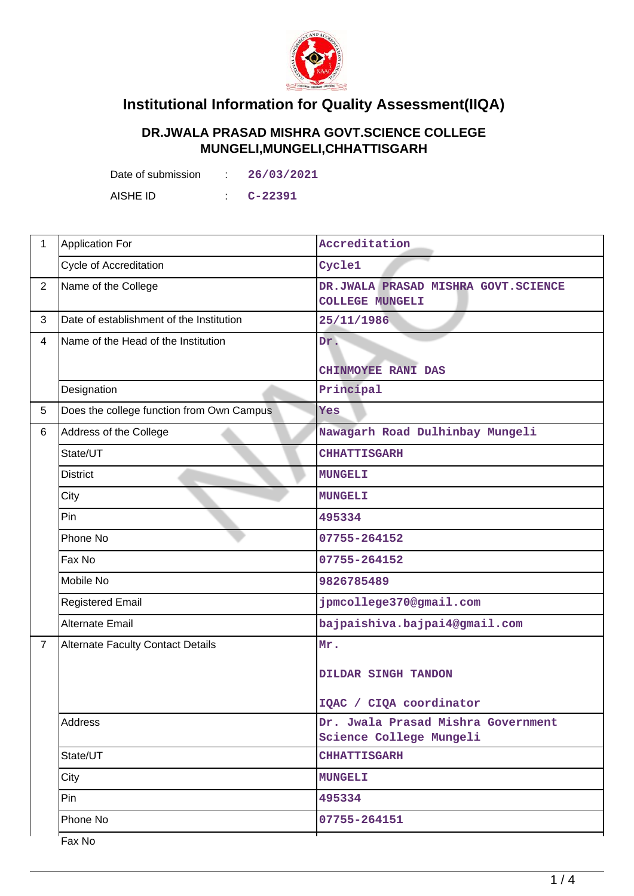

## **Institutional Information for Quality Assessment(IIQA)**

## **DR.JWALA PRASAD MISHRA GOVT.SCIENCE COLLEGE MUNGELI,MUNGELI,CHHATTISGARH**

Date of submission : **26/03/2021**

AISHE ID : **C-22391**

| $\mathbf{1}$   | Application For                           | Accreditation                                                 |  |
|----------------|-------------------------------------------|---------------------------------------------------------------|--|
|                | <b>Cycle of Accreditation</b>             | Cycle1                                                        |  |
| $\overline{2}$ | Name of the College                       | DR.JWALA PRASAD MISHRA GOVT.SCIENCE<br><b>COLLEGE MUNGELI</b> |  |
| 3              | Date of establishment of the Institution  | 25/11/1986                                                    |  |
| $\overline{4}$ | Name of the Head of the Institution       | Dr.                                                           |  |
|                |                                           | CHINMOYEE RANI DAS                                            |  |
|                | Designation                               | Principal                                                     |  |
| 5              | Does the college function from Own Campus | Yes                                                           |  |
| 6              | Address of the College                    | Nawagarh Road Dulhinbay Mungeli                               |  |
|                | State/UT                                  | <b>CHHATTISGARH</b>                                           |  |
|                | <b>District</b>                           | <b>MUNGELI</b>                                                |  |
|                | City                                      | <b>MUNGELI</b>                                                |  |
|                | Pin                                       | 495334                                                        |  |
|                | Phone No                                  | 07755-264152                                                  |  |
|                | Fax No                                    | 07755-264152                                                  |  |
|                | Mobile No                                 | 9826785489                                                    |  |
|                | <b>Registered Email</b>                   | jpmcollege370@gmail.com                                       |  |
|                | Alternate Email                           | bajpaishiva.bajpai4@gmail.com                                 |  |
| $\overline{7}$ | <b>Alternate Faculty Contact Details</b>  | Mr.                                                           |  |
|                |                                           | DILDAR SINGH TANDON                                           |  |
|                |                                           |                                                               |  |
|                |                                           | IQAC / CIQA coordinator                                       |  |
|                | Address                                   | Dr. Jwala Prasad Mishra Government<br>Science College Mungeli |  |
|                | State/UT                                  | <b>CHHATTISGARH</b>                                           |  |
|                | City                                      | <b>MUNGELI</b>                                                |  |
|                | Pin                                       | 495334                                                        |  |
|                | Phone No                                  | 07755-264151                                                  |  |
|                | Fax No                                    |                                                               |  |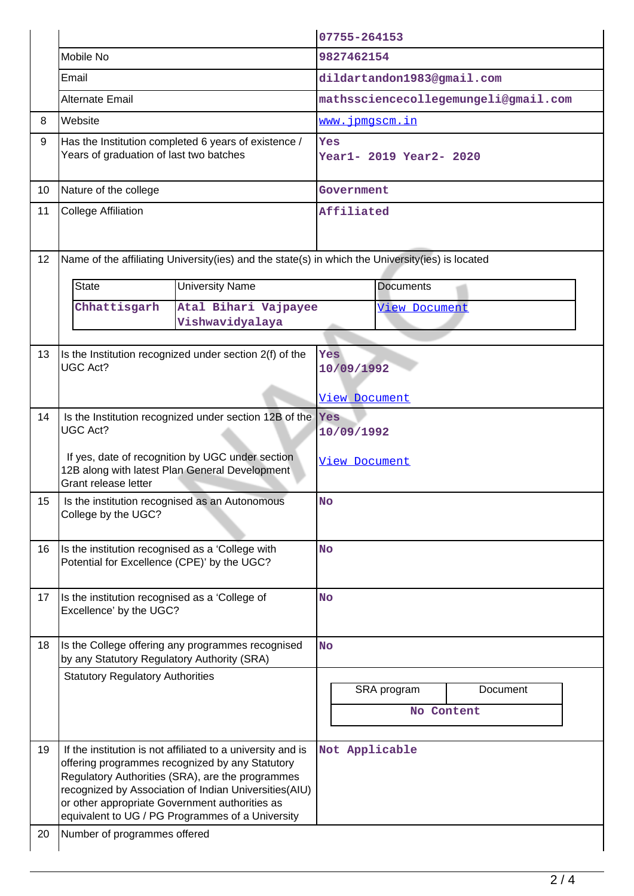|    |                                                                                                                                                                                                         |                                                                                                                                                                                                                                                                                 | 07755-264153                         |                   |                           |          |
|----|---------------------------------------------------------------------------------------------------------------------------------------------------------------------------------------------------------|---------------------------------------------------------------------------------------------------------------------------------------------------------------------------------------------------------------------------------------------------------------------------------|--------------------------------------|-------------------|---------------------------|----------|
|    | Mobile No                                                                                                                                                                                               |                                                                                                                                                                                                                                                                                 | 9827462154                           |                   |                           |          |
|    | Email                                                                                                                                                                                                   |                                                                                                                                                                                                                                                                                 | dildartandon1983@gmail.com           |                   |                           |          |
|    | Alternate Email                                                                                                                                                                                         |                                                                                                                                                                                                                                                                                 | mathssciencecollegemungeli@gmail.com |                   |                           |          |
| 8  | Website                                                                                                                                                                                                 |                                                                                                                                                                                                                                                                                 |                                      |                   | <u>www.jpmgscm.in</u>     |          |
| 9  | Has the Institution completed 6 years of existence /<br>Years of graduation of last two batches                                                                                                         |                                                                                                                                                                                                                                                                                 | Yes<br>Year1- 2019 Year2- 2020       |                   |                           |          |
| 10 | Nature of the college                                                                                                                                                                                   |                                                                                                                                                                                                                                                                                 | Government                           |                   |                           |          |
| 11 | <b>College Affiliation</b>                                                                                                                                                                              |                                                                                                                                                                                                                                                                                 | Affiliated                           |                   |                           |          |
| 12 |                                                                                                                                                                                                         | Name of the affiliating University(ies) and the state(s) in which the University(ies) is located                                                                                                                                                                                |                                      |                   |                           |          |
|    | <b>State</b><br><b>University Name</b>                                                                                                                                                                  |                                                                                                                                                                                                                                                                                 | <b>Documents</b>                     |                   |                           |          |
|    | Chhattisgarh                                                                                                                                                                                            | Atal Bihari Vajpayee<br>Vishwavidyalaya                                                                                                                                                                                                                                         |                                      |                   | <b>View Document</b>      |          |
| 13 | <b>UGC Act?</b>                                                                                                                                                                                         | Is the Institution recognized under section 2(f) of the                                                                                                                                                                                                                         |                                      | Yes<br>10/09/1992 |                           |          |
|    |                                                                                                                                                                                                         |                                                                                                                                                                                                                                                                                 | View Document                        |                   |                           |          |
| 14 | Is the Institution recognized under section 12B of the<br><b>UGC Act?</b><br>If yes, date of recognition by UGC under section<br>12B along with latest Plan General Development<br>Grant release letter |                                                                                                                                                                                                                                                                                 | Yes<br>10/09/1992<br>View Document   |                   |                           |          |
| 15 | Is the institution recognised as an Autonomous<br>College by the UGC?                                                                                                                                   |                                                                                                                                                                                                                                                                                 | <b>No</b>                            |                   |                           |          |
| 16 | Is the institution recognised as a 'College with<br>Potential for Excellence (CPE)' by the UGC?                                                                                                         |                                                                                                                                                                                                                                                                                 | <b>No</b>                            |                   |                           |          |
| 17 | Is the institution recognised as a 'College of<br>Excellence' by the UGC?                                                                                                                               |                                                                                                                                                                                                                                                                                 | <b>No</b>                            |                   |                           |          |
| 18 | Is the College offering any programmes recognised<br>by any Statutory Regulatory Authority (SRA)                                                                                                        |                                                                                                                                                                                                                                                                                 | <b>No</b>                            |                   |                           |          |
|    | <b>Statutory Regulatory Authorities</b>                                                                                                                                                                 |                                                                                                                                                                                                                                                                                 |                                      |                   | SRA program<br>No Content | Document |
| 19 | or other appropriate Government authorities as                                                                                                                                                          | If the institution is not affiliated to a university and is<br>offering programmes recognized by any Statutory<br>Regulatory Authorities (SRA), are the programmes<br>recognized by Association of Indian Universities(AIU)<br>equivalent to UG / PG Programmes of a University |                                      |                   | Not Applicable            |          |
| 20 | Number of programmes offered                                                                                                                                                                            |                                                                                                                                                                                                                                                                                 |                                      |                   |                           |          |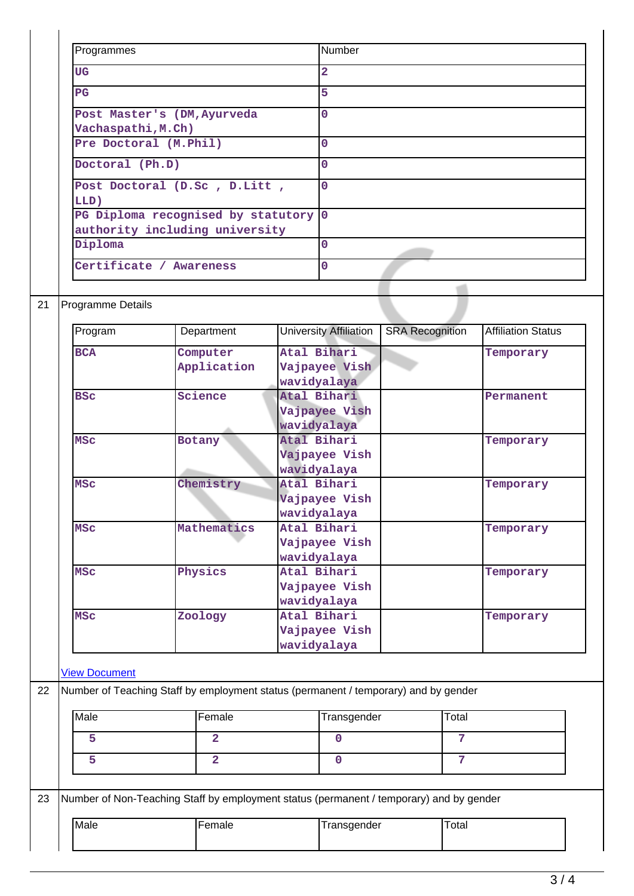| Programmes                                                             | Number         |
|------------------------------------------------------------------------|----------------|
| UG                                                                     | $\overline{a}$ |
| $_{\rm PG}$                                                            | 5              |
| Post Master's (DM, Ayurveda<br>Vachaspathi, M.Ch)                      | $\Omega$       |
| Pre Doctoral (M. Phil)                                                 | 0              |
| Doctoral (Ph.D)                                                        | $\Omega$       |
| Post Doctoral (D.Sc, D.Litt,<br>LLD)                                   | $\overline{0}$ |
| PG Diploma recognised by statutory 0<br>authority including university |                |
| Diploma                                                                | $\Omega$       |
| Certificate / Awareness                                                | $\Omega$       |

## 21 Programme Details

 $\overline{\mathbf{I}}$ 

| Program              | Department                                                                          | <b>University Affiliation</b> | <b>SRA Recognition</b> | <b>Affiliation Status</b> |
|----------------------|-------------------------------------------------------------------------------------|-------------------------------|------------------------|---------------------------|
| <b>BCA</b>           | Computer                                                                            | Atal Bihari                   |                        | Temporary                 |
|                      | Application                                                                         | Vajpayee Vish                 |                        |                           |
|                      |                                                                                     | wavidyalaya                   |                        |                           |
| <b>BSC</b>           | Science                                                                             | Atal Bihari                   |                        | Permanent                 |
|                      |                                                                                     | Vajpayee Vish                 |                        |                           |
|                      |                                                                                     | wavidyalaya                   |                        |                           |
| <b>MSC</b>           | <b>Botany</b>                                                                       | Atal Bihari                   |                        | Temporary                 |
|                      |                                                                                     | Vajpayee Vish                 |                        |                           |
|                      |                                                                                     | wavidyalaya                   |                        |                           |
| <b>MSC</b>           | Chemistry                                                                           | Atal Bihari                   |                        | Temporary                 |
|                      |                                                                                     | Vajpayee Vish                 |                        |                           |
|                      |                                                                                     | wavidyalaya                   |                        |                           |
| <b>MSC</b>           | Mathematics                                                                         | Atal Bihari                   |                        | Temporary                 |
|                      |                                                                                     | Vajpayee Vish                 |                        |                           |
|                      |                                                                                     | wavidyalaya                   |                        |                           |
| <b>MSC</b>           | Physics                                                                             | Atal Bihari                   |                        | Temporary                 |
|                      |                                                                                     | Vajpayee Vish                 |                        |                           |
|                      |                                                                                     | wavidyalaya                   |                        |                           |
| <b>MSC</b>           | Zoology                                                                             | Atal Bihari                   |                        | Temporary                 |
|                      |                                                                                     | Vajpayee Vish                 |                        |                           |
|                      |                                                                                     | wavidyalaya                   |                        |                           |
|                      |                                                                                     |                               |                        |                           |
| <b>View Document</b> |                                                                                     |                               |                        |                           |
|                      | Number of Teaching Staff by employment status (permanent / temporary) and by gender |                               |                        |                           |
| Male                 | Female                                                                              | Transgender                   | Total                  |                           |
| 5                    | $\overline{2}$                                                                      | $\mathbf{0}$                  | 7                      |                           |
| 5                    | $\overline{2}$                                                                      | $\Omega$                      | $\overline{7}$         |                           |

| 23 | Number of Non-Teaching Staff by employment status (permanent / temporary) and by gender |         |             |       |  |  |
|----|-----------------------------------------------------------------------------------------|---------|-------------|-------|--|--|
|    | Male                                                                                    | lFemale | Transgender | Total |  |  |